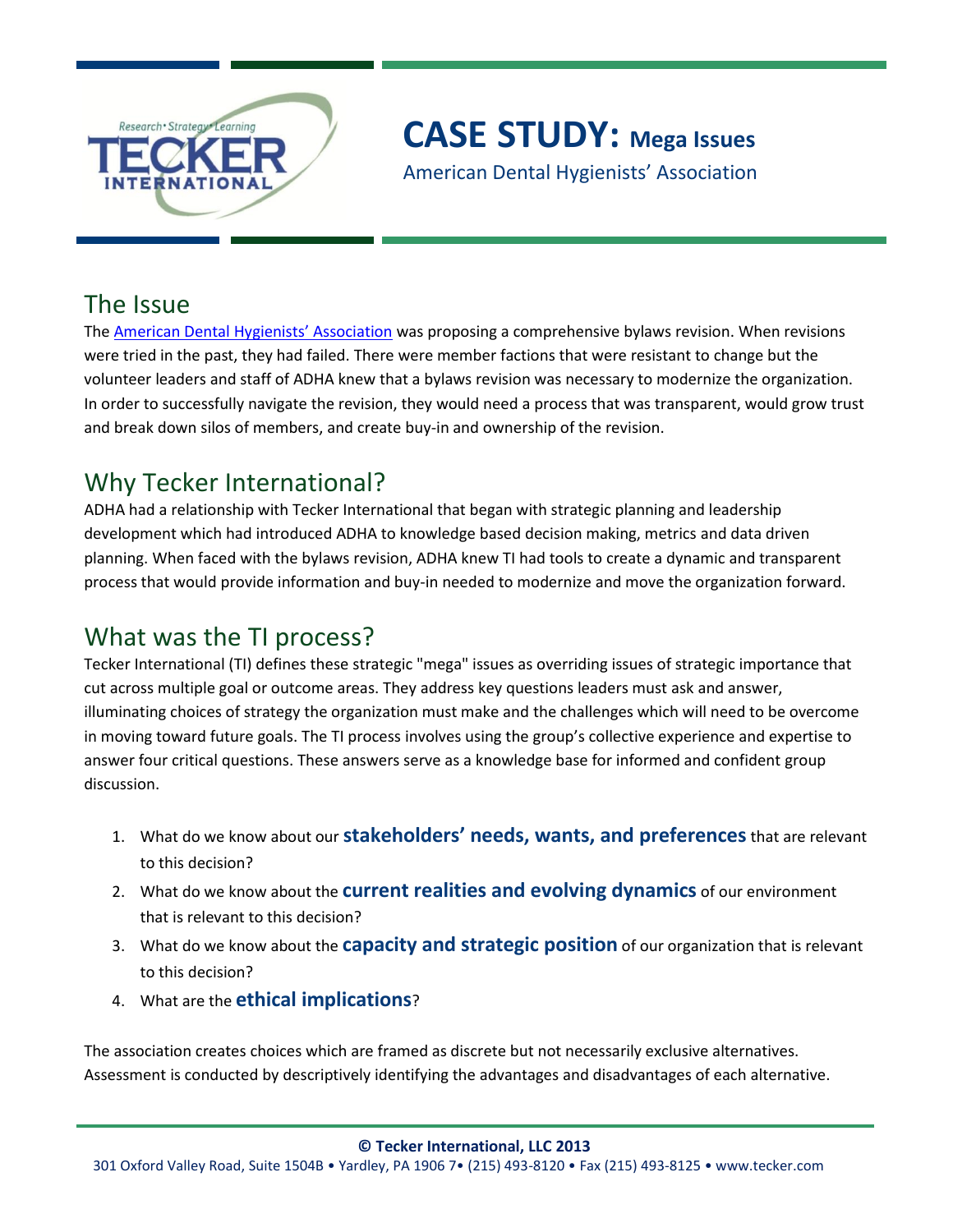

# **CASE STUDY: Mega Issues**

American Dental Hygienists' Association

#### The Issue

The [American Dental Hygienists' Association](http://www.adha.org/) was proposing a comprehensive bylaws revision. When revisions were tried in the past, they had failed. There were member factions that were resistant to change but the volunteer leaders and staff of ADHA knew that a bylaws revision was necessary to modernize the organization. In order to successfully navigate the revision, they would need a process that was transparent, would grow trust and break down silos of members, and create buy-in and ownership of the revision.

## Why Tecker International?

ADHA had a relationship with Tecker International that began with strategic planning and leadership development which had introduced ADHA to knowledge based decision making, metrics and data driven planning. When faced with the bylaws revision, ADHA knew TI had tools to create a dynamic and transparent process that would provide information and buy-in needed to modernize and move the organization forward.

## What was the TI process?

Tecker International (TI) defines these strategic "mega" issues as overriding issues of strategic importance that cut across multiple goal or outcome areas. They address key questions leaders must ask and answer, illuminating choices of strategy the organization must make and the challenges which will need to be overcome in moving toward future goals. The TI process involves using the group's collective experience and expertise to answer four critical questions. These answers serve as a knowledge base for informed and confident group discussion.

- 1. What do we know about our **stakeholders' needs, wants, and preferences**that are relevant to this decision?
- 2. What do we know about the **current realities and evolving dynamics** of our environment that is relevant to this decision?
- 3. What do we know about the **capacity and strategic position** of our organization that is relevant to this decision?
- 4. What are the **ethical implications**?

The association creates choices which are framed as discrete but not necessarily exclusive alternatives. Assessment is conducted by descriptively identifying the advantages and disadvantages of each alternative.